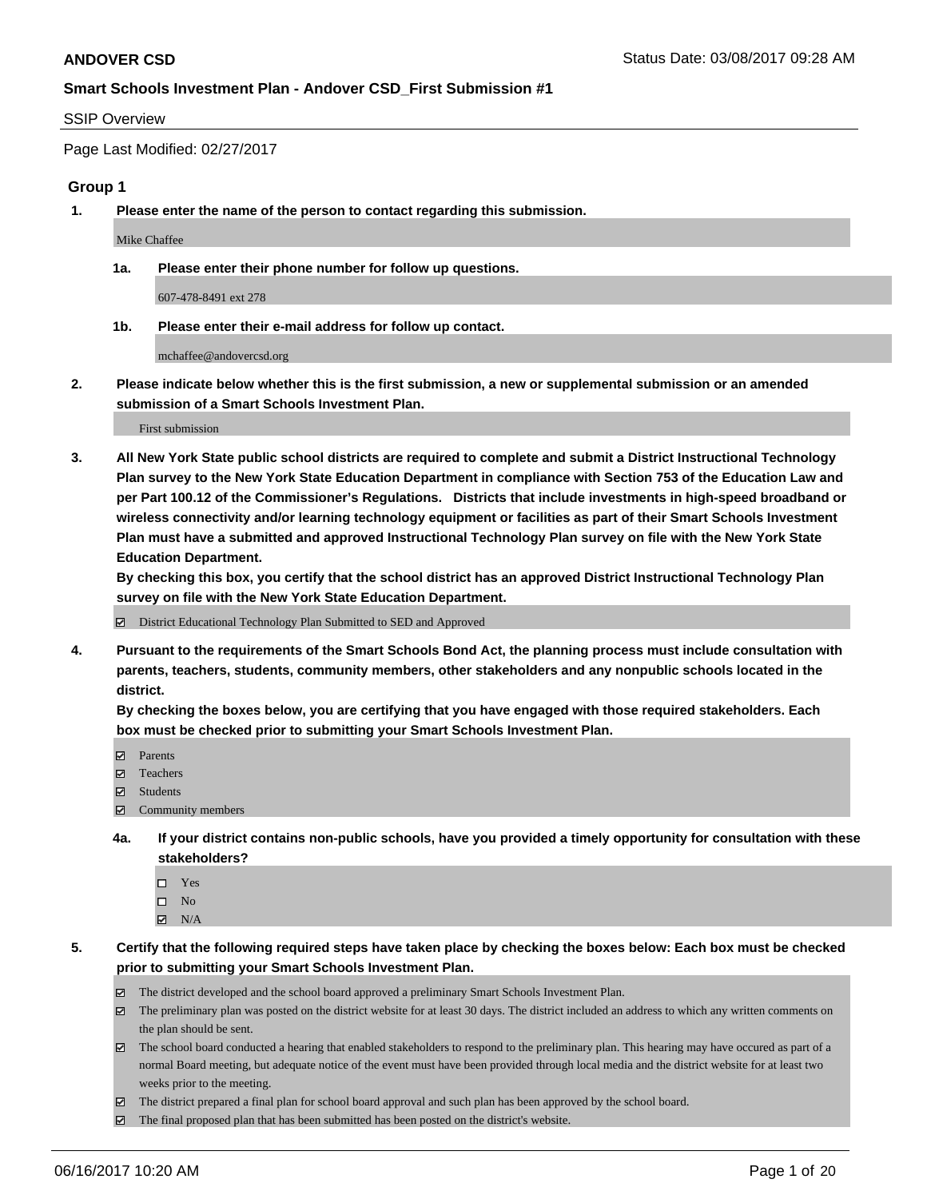#### SSIP Overview

Page Last Modified: 02/27/2017

#### **Group 1**

**1. Please enter the name of the person to contact regarding this submission.**

Mike Chaffee

**1a. Please enter their phone number for follow up questions.**

607-478-8491 ext 278

**1b. Please enter their e-mail address for follow up contact.**

mchaffee@andovercsd.org

**2. Please indicate below whether this is the first submission, a new or supplemental submission or an amended submission of a Smart Schools Investment Plan.**

First submission

**3. All New York State public school districts are required to complete and submit a District Instructional Technology Plan survey to the New York State Education Department in compliance with Section 753 of the Education Law and per Part 100.12 of the Commissioner's Regulations. Districts that include investments in high-speed broadband or wireless connectivity and/or learning technology equipment or facilities as part of their Smart Schools Investment Plan must have a submitted and approved Instructional Technology Plan survey on file with the New York State Education Department.** 

**By checking this box, you certify that the school district has an approved District Instructional Technology Plan survey on file with the New York State Education Department.**

District Educational Technology Plan Submitted to SED and Approved

**4. Pursuant to the requirements of the Smart Schools Bond Act, the planning process must include consultation with parents, teachers, students, community members, other stakeholders and any nonpublic schools located in the district.** 

**By checking the boxes below, you are certifying that you have engaged with those required stakeholders. Each box must be checked prior to submitting your Smart Schools Investment Plan.**

- **マ** Parents
- □ Teachers
- Students
- $\Xi$  Community members
- **4a. If your district contains non-public schools, have you provided a timely opportunity for consultation with these stakeholders?**
	- Yes
	- $\hfill \square$  No
	- $\boxtimes$  N/A
- **5. Certify that the following required steps have taken place by checking the boxes below: Each box must be checked prior to submitting your Smart Schools Investment Plan.**
	- The district developed and the school board approved a preliminary Smart Schools Investment Plan.
	- $\boxtimes$  The preliminary plan was posted on the district website for at least 30 days. The district included an address to which any written comments on the plan should be sent.
	- $\boxtimes$  The school board conducted a hearing that enabled stakeholders to respond to the preliminary plan. This hearing may have occured as part of a normal Board meeting, but adequate notice of the event must have been provided through local media and the district website for at least two weeks prior to the meeting.
	- The district prepared a final plan for school board approval and such plan has been approved by the school board.
	- $\boxtimes$  The final proposed plan that has been submitted has been posted on the district's website.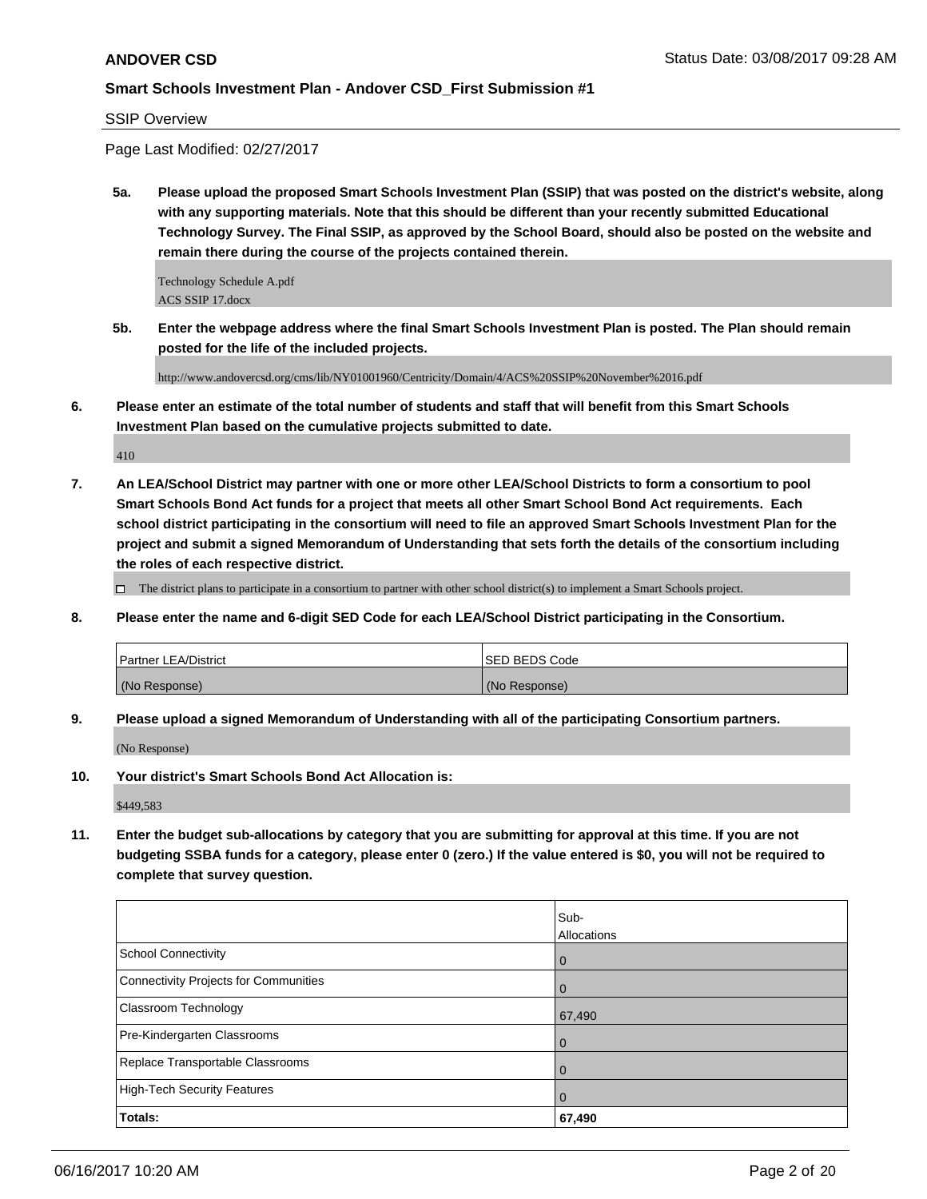SSIP Overview

Page Last Modified: 02/27/2017

**5a. Please upload the proposed Smart Schools Investment Plan (SSIP) that was posted on the district's website, along with any supporting materials. Note that this should be different than your recently submitted Educational Technology Survey. The Final SSIP, as approved by the School Board, should also be posted on the website and remain there during the course of the projects contained therein.**

Technology Schedule A.pdf ACS SSIP 17.docx

**5b. Enter the webpage address where the final Smart Schools Investment Plan is posted. The Plan should remain posted for the life of the included projects.**

http://www.andovercsd.org/cms/lib/NY01001960/Centricity/Domain/4/ACS%20SSIP%20November%2016.pdf

**6. Please enter an estimate of the total number of students and staff that will benefit from this Smart Schools Investment Plan based on the cumulative projects submitted to date.**

410

**7. An LEA/School District may partner with one or more other LEA/School Districts to form a consortium to pool Smart Schools Bond Act funds for a project that meets all other Smart School Bond Act requirements. Each school district participating in the consortium will need to file an approved Smart Schools Investment Plan for the project and submit a signed Memorandum of Understanding that sets forth the details of the consortium including the roles of each respective district.**

 $\Box$  The district plans to participate in a consortium to partner with other school district(s) to implement a Smart Schools project.

**8. Please enter the name and 6-digit SED Code for each LEA/School District participating in the Consortium.**

| <b>Partner LEA/District</b> | <b>ISED BEDS Code</b> |
|-----------------------------|-----------------------|
| (No Response)               | (No Response)         |

**9. Please upload a signed Memorandum of Understanding with all of the participating Consortium partners.**

(No Response)

**10. Your district's Smart Schools Bond Act Allocation is:**

\$449,583

**11. Enter the budget sub-allocations by category that you are submitting for approval at this time. If you are not budgeting SSBA funds for a category, please enter 0 (zero.) If the value entered is \$0, you will not be required to complete that survey question.**

|                                       | Sub-               |
|---------------------------------------|--------------------|
|                                       | <b>Allocations</b> |
| <b>School Connectivity</b>            | $\overline{0}$     |
| Connectivity Projects for Communities | $\overline{0}$     |
| <b>Classroom Technology</b>           | 67,490             |
| Pre-Kindergarten Classrooms           | l 0                |
| Replace Transportable Classrooms      | $\Omega$           |
| High-Tech Security Features           | $\overline{0}$     |
| Totals:                               | 67,490             |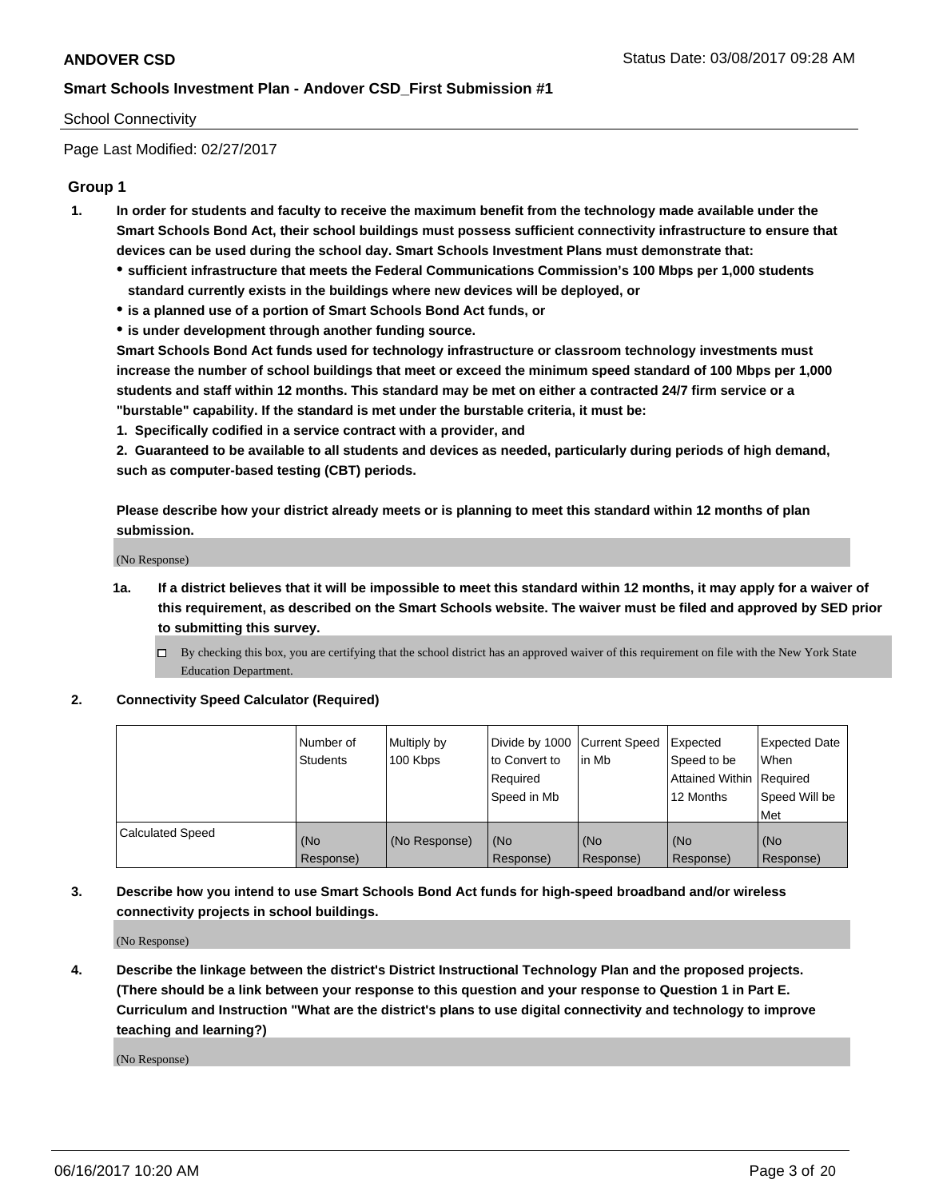## School Connectivity

Page Last Modified: 02/27/2017

# **Group 1**

- **1. In order for students and faculty to receive the maximum benefit from the technology made available under the Smart Schools Bond Act, their school buildings must possess sufficient connectivity infrastructure to ensure that devices can be used during the school day. Smart Schools Investment Plans must demonstrate that:**
	- **sufficient infrastructure that meets the Federal Communications Commission's 100 Mbps per 1,000 students standard currently exists in the buildings where new devices will be deployed, or**
	- **is a planned use of a portion of Smart Schools Bond Act funds, or**
	- **is under development through another funding source.**

**Smart Schools Bond Act funds used for technology infrastructure or classroom technology investments must increase the number of school buildings that meet or exceed the minimum speed standard of 100 Mbps per 1,000 students and staff within 12 months. This standard may be met on either a contracted 24/7 firm service or a "burstable" capability. If the standard is met under the burstable criteria, it must be:**

**1. Specifically codified in a service contract with a provider, and**

**2. Guaranteed to be available to all students and devices as needed, particularly during periods of high demand, such as computer-based testing (CBT) periods.**

**Please describe how your district already meets or is planning to meet this standard within 12 months of plan submission.**

(No Response)

- **1a. If a district believes that it will be impossible to meet this standard within 12 months, it may apply for a waiver of this requirement, as described on the Smart Schools website. The waiver must be filed and approved by SED prior to submitting this survey.**
	- By checking this box, you are certifying that the school district has an approved waiver of this requirement on file with the New York State Education Department.

#### **2. Connectivity Speed Calculator (Required)**

|                         | Number of<br><b>Students</b> | Multiply by<br>100 Kbps | Divide by 1000 Current Speed<br>to Convert to<br>Required<br>Speed in Mb | l in Mb          | Expected<br>Speed to be<br>Attained Within Required<br>12 Months | Expected Date<br>When<br>Speed Will be<br>Met |
|-------------------------|------------------------------|-------------------------|--------------------------------------------------------------------------|------------------|------------------------------------------------------------------|-----------------------------------------------|
| <b>Calculated Speed</b> | (No<br>Response)             | (No Response)           | (No<br>Response)                                                         | (No<br>Response) | (No<br>Response)                                                 | (No<br>Response)                              |

# **3. Describe how you intend to use Smart Schools Bond Act funds for high-speed broadband and/or wireless connectivity projects in school buildings.**

(No Response)

**4. Describe the linkage between the district's District Instructional Technology Plan and the proposed projects. (There should be a link between your response to this question and your response to Question 1 in Part E. Curriculum and Instruction "What are the district's plans to use digital connectivity and technology to improve teaching and learning?)**

(No Response)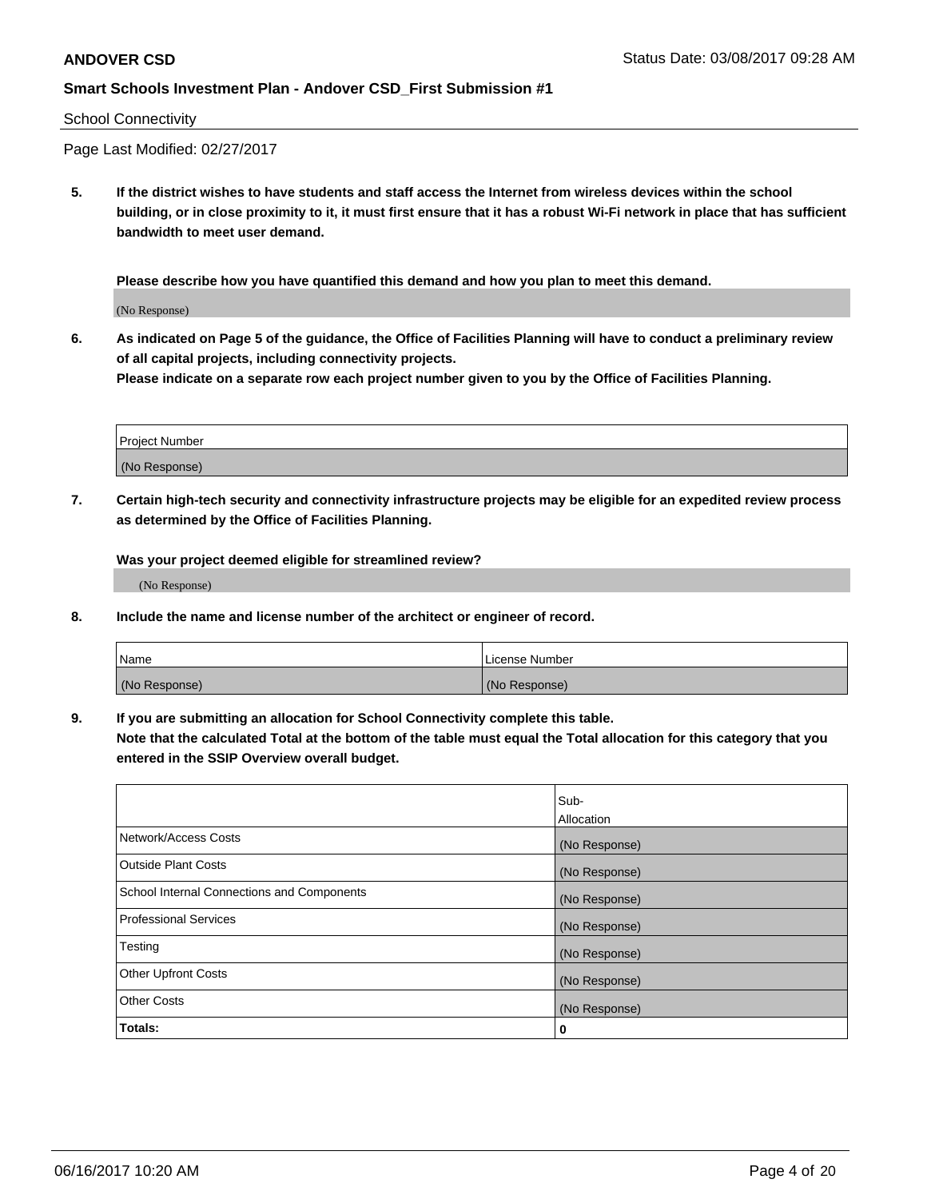### School Connectivity

Page Last Modified: 02/27/2017

**5. If the district wishes to have students and staff access the Internet from wireless devices within the school building, or in close proximity to it, it must first ensure that it has a robust Wi-Fi network in place that has sufficient bandwidth to meet user demand.**

**Please describe how you have quantified this demand and how you plan to meet this demand.**

(No Response)

**6. As indicated on Page 5 of the guidance, the Office of Facilities Planning will have to conduct a preliminary review of all capital projects, including connectivity projects.**

**Please indicate on a separate row each project number given to you by the Office of Facilities Planning.**

| Project Number |  |
|----------------|--|
|                |  |
| (No Response)  |  |

**7. Certain high-tech security and connectivity infrastructure projects may be eligible for an expedited review process as determined by the Office of Facilities Planning.**

**Was your project deemed eligible for streamlined review?**

(No Response)

**8. Include the name and license number of the architect or engineer of record.**

| Name          | License Number |
|---------------|----------------|
| (No Response) | (No Response)  |

**9. If you are submitting an allocation for School Connectivity complete this table.**

**Note that the calculated Total at the bottom of the table must equal the Total allocation for this category that you entered in the SSIP Overview overall budget.** 

|                                            | Sub-              |
|--------------------------------------------|-------------------|
|                                            | <b>Allocation</b> |
| Network/Access Costs                       | (No Response)     |
| <b>Outside Plant Costs</b>                 | (No Response)     |
| School Internal Connections and Components | (No Response)     |
| Professional Services                      | (No Response)     |
| Testing                                    | (No Response)     |
| <b>Other Upfront Costs</b>                 | (No Response)     |
| <b>Other Costs</b>                         | (No Response)     |
| Totals:                                    | 0                 |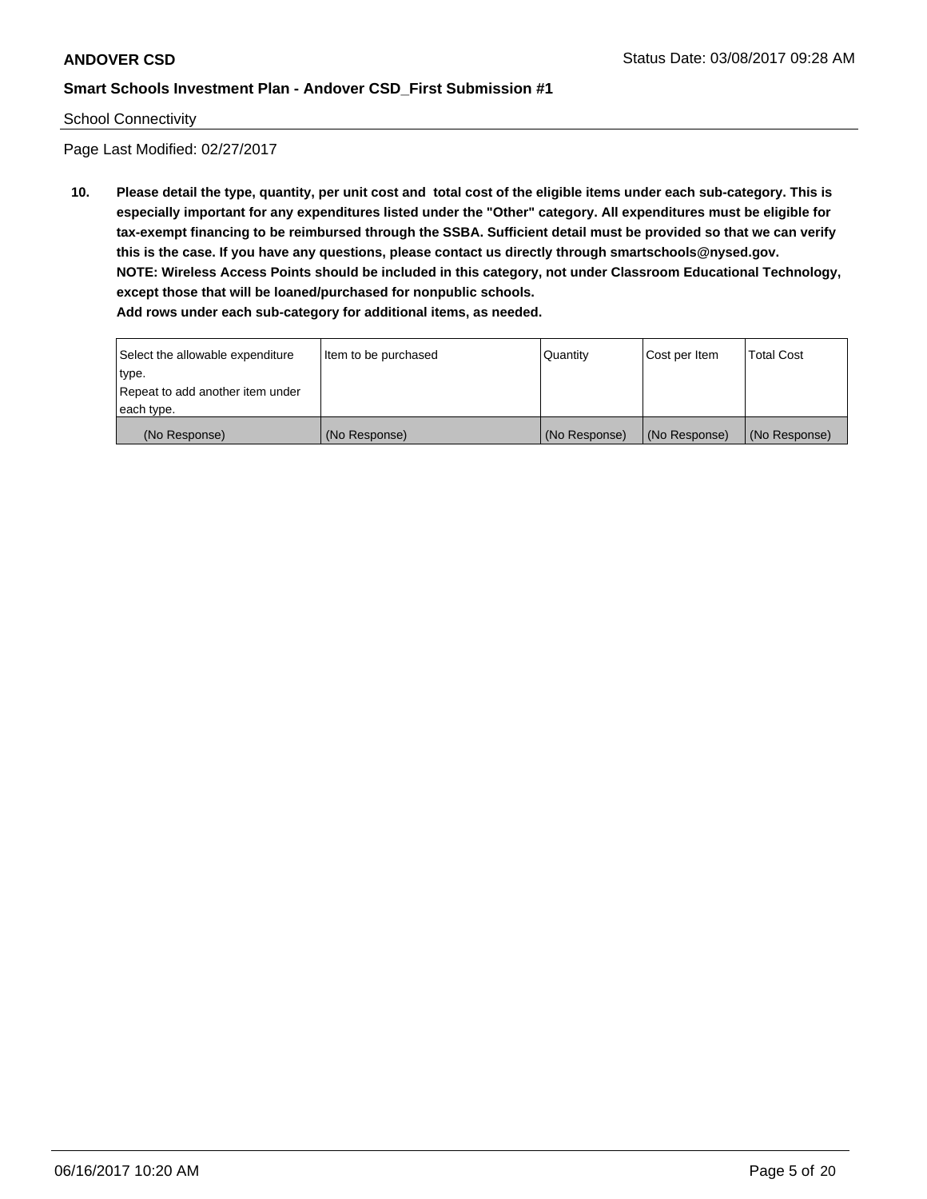#### School Connectivity

Page Last Modified: 02/27/2017

**10. Please detail the type, quantity, per unit cost and total cost of the eligible items under each sub-category. This is especially important for any expenditures listed under the "Other" category. All expenditures must be eligible for tax-exempt financing to be reimbursed through the SSBA. Sufficient detail must be provided so that we can verify this is the case. If you have any questions, please contact us directly through smartschools@nysed.gov. NOTE: Wireless Access Points should be included in this category, not under Classroom Educational Technology, except those that will be loaned/purchased for nonpublic schools. Add rows under each sub-category for additional items, as needed.**

Select the allowable expenditure type. Repeat to add another item under each type. Item to be purchased  $\sqrt{$  Quantity  $\sqrt{}$  Cost per Item  $\sqrt{}$  Total Cost (No Response) (No Response) (No Response) (No Response) (No Response)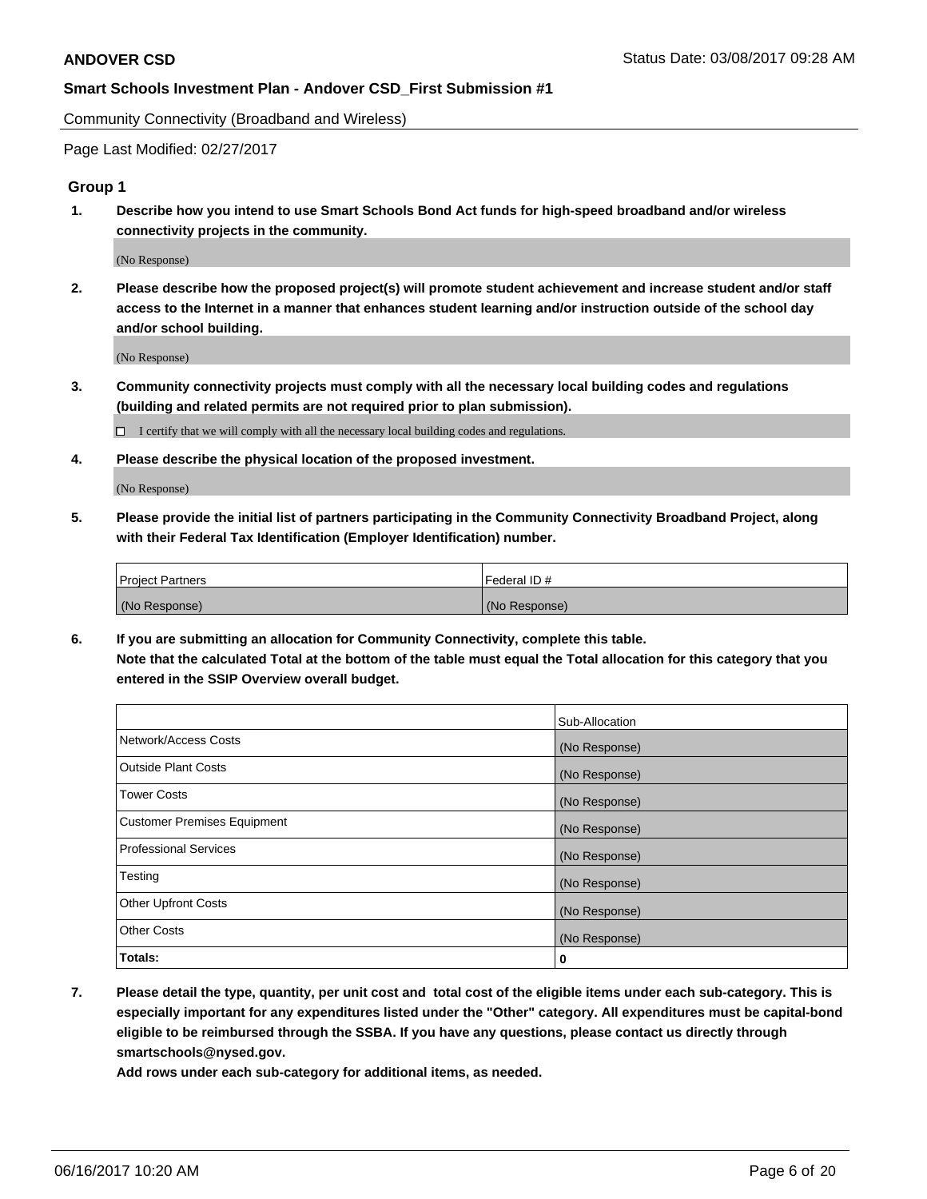Community Connectivity (Broadband and Wireless)

Page Last Modified: 02/27/2017

# **Group 1**

**1. Describe how you intend to use Smart Schools Bond Act funds for high-speed broadband and/or wireless connectivity projects in the community.**

(No Response)

**2. Please describe how the proposed project(s) will promote student achievement and increase student and/or staff access to the Internet in a manner that enhances student learning and/or instruction outside of the school day and/or school building.**

(No Response)

**3. Community connectivity projects must comply with all the necessary local building codes and regulations (building and related permits are not required prior to plan submission).**

 $\Box$  I certify that we will comply with all the necessary local building codes and regulations.

**4. Please describe the physical location of the proposed investment.**

(No Response)

**5. Please provide the initial list of partners participating in the Community Connectivity Broadband Project, along with their Federal Tax Identification (Employer Identification) number.**

| <b>Project Partners</b> | l Federal ID # |
|-------------------------|----------------|
| (No Response)           | (No Response)  |

**6. If you are submitting an allocation for Community Connectivity, complete this table. Note that the calculated Total at the bottom of the table must equal the Total allocation for this category that you entered in the SSIP Overview overall budget.**

|                                    | Sub-Allocation |
|------------------------------------|----------------|
| Network/Access Costs               | (No Response)  |
| Outside Plant Costs                | (No Response)  |
| <b>Tower Costs</b>                 | (No Response)  |
| <b>Customer Premises Equipment</b> | (No Response)  |
| <b>Professional Services</b>       | (No Response)  |
| Testing                            | (No Response)  |
| <b>Other Upfront Costs</b>         | (No Response)  |
| <b>Other Costs</b>                 | (No Response)  |
| Totals:                            | 0              |

**7. Please detail the type, quantity, per unit cost and total cost of the eligible items under each sub-category. This is especially important for any expenditures listed under the "Other" category. All expenditures must be capital-bond eligible to be reimbursed through the SSBA. If you have any questions, please contact us directly through smartschools@nysed.gov.**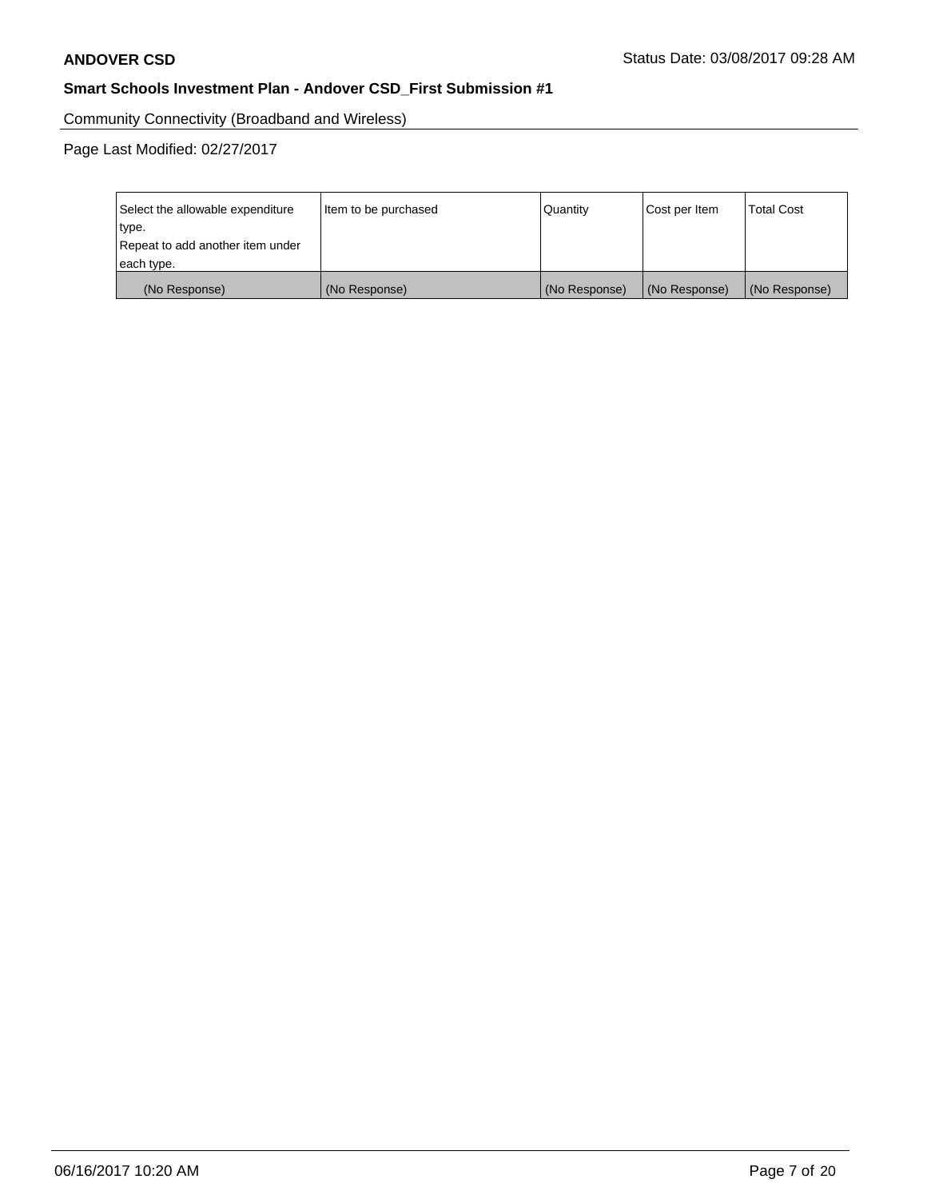Community Connectivity (Broadband and Wireless)

| Select the allowable expenditure<br>type.<br>Repeat to add another item under | Item to be purchased | Quantity      | Cost per Item | <b>Total Cost</b> |
|-------------------------------------------------------------------------------|----------------------|---------------|---------------|-------------------|
| each type.                                                                    |                      |               |               |                   |
| (No Response)                                                                 | (No Response)        | (No Response) | (No Response) | (No Response)     |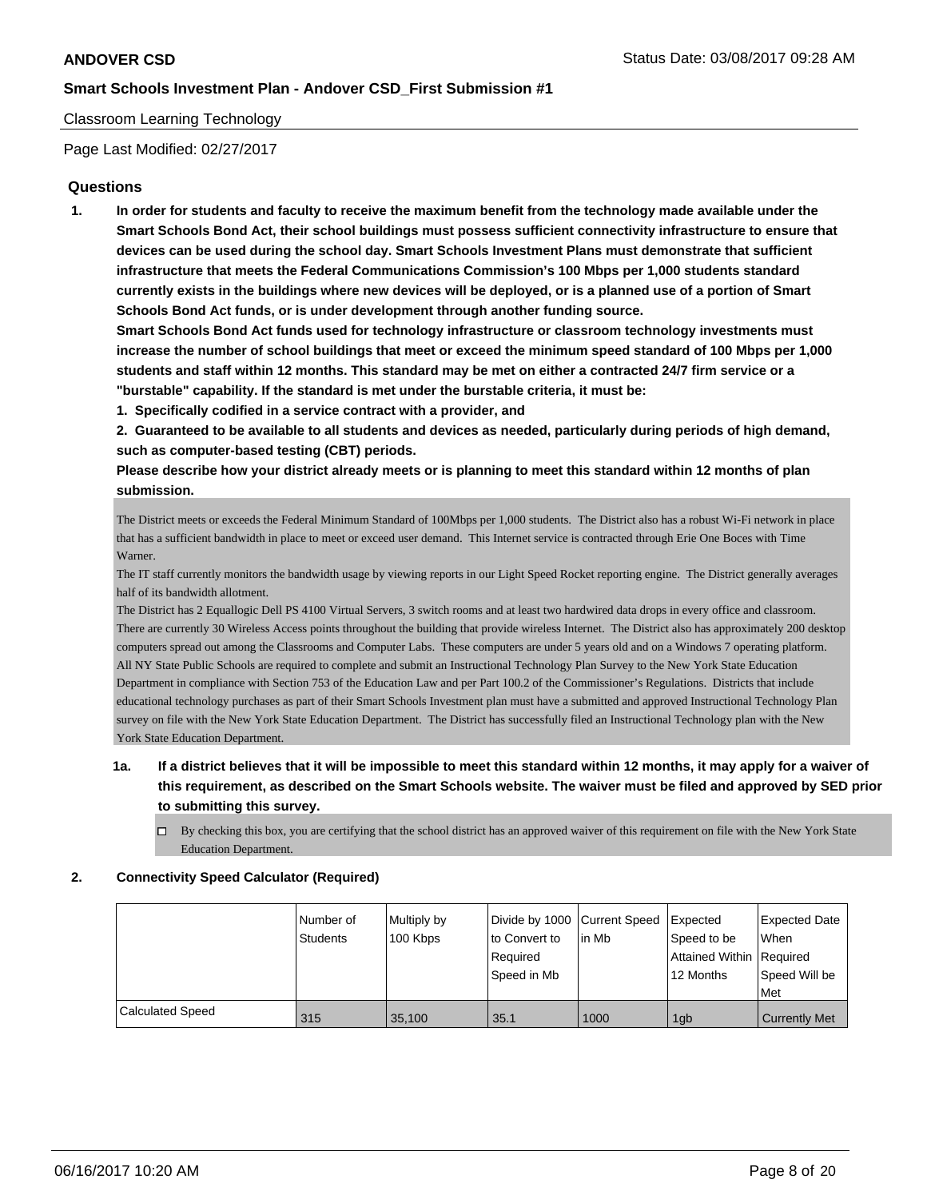## Classroom Learning Technology

Page Last Modified: 02/27/2017

## **Questions**

**1. In order for students and faculty to receive the maximum benefit from the technology made available under the Smart Schools Bond Act, their school buildings must possess sufficient connectivity infrastructure to ensure that devices can be used during the school day. Smart Schools Investment Plans must demonstrate that sufficient infrastructure that meets the Federal Communications Commission's 100 Mbps per 1,000 students standard currently exists in the buildings where new devices will be deployed, or is a planned use of a portion of Smart Schools Bond Act funds, or is under development through another funding source.**

**Smart Schools Bond Act funds used for technology infrastructure or classroom technology investments must increase the number of school buildings that meet or exceed the minimum speed standard of 100 Mbps per 1,000 students and staff within 12 months. This standard may be met on either a contracted 24/7 firm service or a "burstable" capability. If the standard is met under the burstable criteria, it must be:**

**1. Specifically codified in a service contract with a provider, and**

**2. Guaranteed to be available to all students and devices as needed, particularly during periods of high demand, such as computer-based testing (CBT) periods.**

**Please describe how your district already meets or is planning to meet this standard within 12 months of plan submission.**

The District meets or exceeds the Federal Minimum Standard of 100Mbps per 1,000 students. The District also has a robust Wi-Fi network in place that has a sufficient bandwidth in place to meet or exceed user demand. This Internet service is contracted through Erie One Boces with Time Warner.

The IT staff currently monitors the bandwidth usage by viewing reports in our Light Speed Rocket reporting engine. The District generally averages half of its bandwidth allotment.

The District has 2 Equallogic Dell PS 4100 Virtual Servers, 3 switch rooms and at least two hardwired data drops in every office and classroom. There are currently 30 Wireless Access points throughout the building that provide wireless Internet. The District also has approximately 200 desktop computers spread out among the Classrooms and Computer Labs. These computers are under 5 years old and on a Windows 7 operating platform. All NY State Public Schools are required to complete and submit an Instructional Technology Plan Survey to the New York State Education Department in compliance with Section 753 of the Education Law and per Part 100.2 of the Commissioner's Regulations. Districts that include educational technology purchases as part of their Smart Schools Investment plan must have a submitted and approved Instructional Technology Plan survey on file with the New York State Education Department. The District has successfully filed an Instructional Technology plan with the New York State Education Department.

# **1a. If a district believes that it will be impossible to meet this standard within 12 months, it may apply for a waiver of this requirement, as described on the Smart Schools website. The waiver must be filed and approved by SED prior to submitting this survey.**

 $\Box$  By checking this box, you are certifying that the school district has an approved waiver of this requirement on file with the New York State Education Department.

#### **2. Connectivity Speed Calculator (Required)**

|                         | l Number of<br><b>Students</b> | Multiply by<br>100 Kbps | Divide by 1000 Current Speed<br>to Convert to<br>Reauired<br>Speed in Mb | l in Mb | Expected<br>Speed to be<br>Attained Within Required<br>12 Months | <b>Expected Date</b><br><b>When</b><br>Speed Will be<br>Met |
|-------------------------|--------------------------------|-------------------------|--------------------------------------------------------------------------|---------|------------------------------------------------------------------|-------------------------------------------------------------|
|                         |                                |                         |                                                                          |         |                                                                  |                                                             |
| <b>Calculated Speed</b> | 315                            | 35,100                  | 35.1                                                                     | 1000    | 1gb                                                              | <b>Currently Met</b>                                        |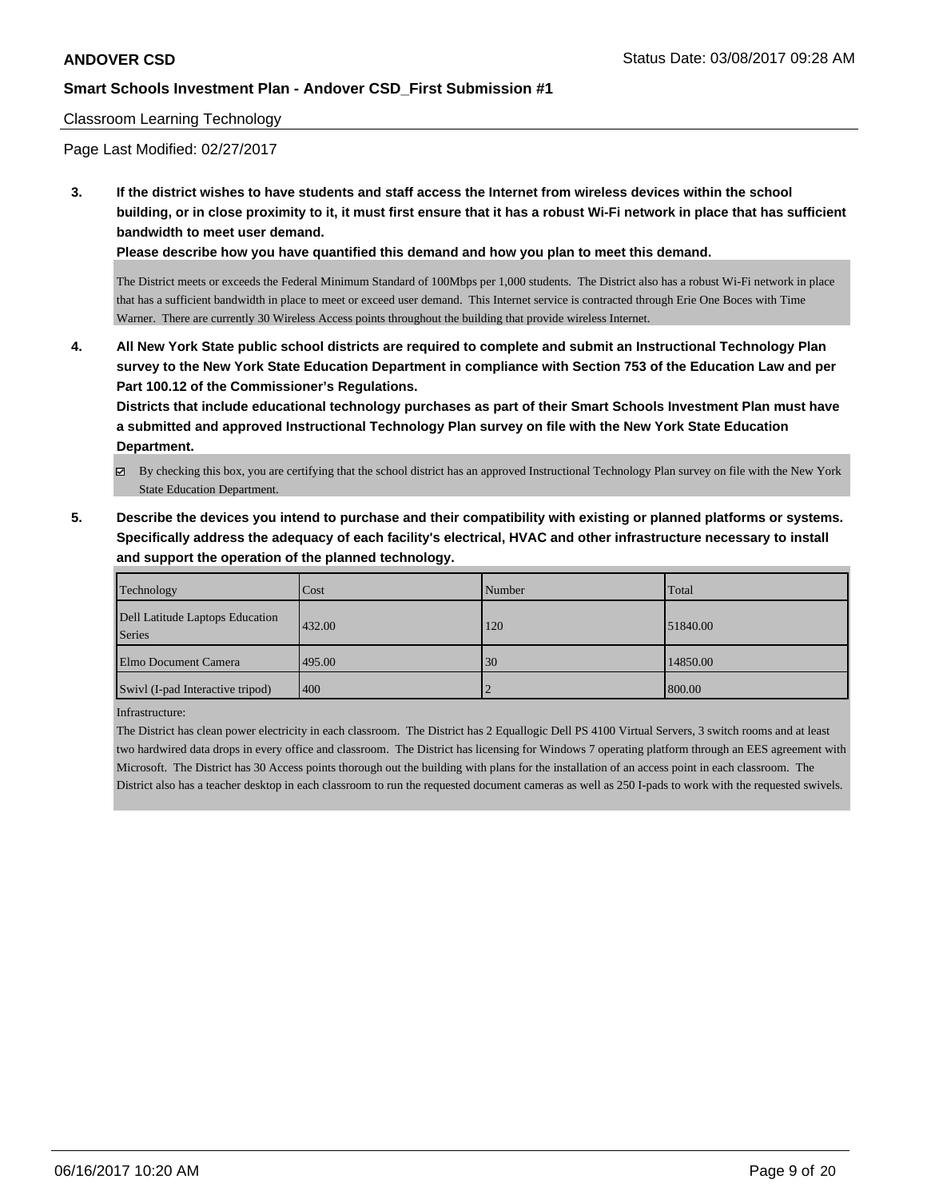## Classroom Learning Technology

Page Last Modified: 02/27/2017

**3. If the district wishes to have students and staff access the Internet from wireless devices within the school building, or in close proximity to it, it must first ensure that it has a robust Wi-Fi network in place that has sufficient bandwidth to meet user demand.**

**Please describe how you have quantified this demand and how you plan to meet this demand.**

The District meets or exceeds the Federal Minimum Standard of 100Mbps per 1,000 students. The District also has a robust Wi-Fi network in place that has a sufficient bandwidth in place to meet or exceed user demand. This Internet service is contracted through Erie One Boces with Time Warner. There are currently 30 Wireless Access points throughout the building that provide wireless Internet.

**4. All New York State public school districts are required to complete and submit an Instructional Technology Plan survey to the New York State Education Department in compliance with Section 753 of the Education Law and per Part 100.12 of the Commissioner's Regulations.**

**Districts that include educational technology purchases as part of their Smart Schools Investment Plan must have a submitted and approved Instructional Technology Plan survey on file with the New York State Education Department.**

- By checking this box, you are certifying that the school district has an approved Instructional Technology Plan survey on file with the New York State Education Department.
- **5. Describe the devices you intend to purchase and their compatibility with existing or planned platforms or systems. Specifically address the adequacy of each facility's electrical, HVAC and other infrastructure necessary to install and support the operation of the planned technology.**

| Technology                                | Cost   | Number | Total    |
|-------------------------------------------|--------|--------|----------|
| Dell Latitude Laptops Education<br>Series | 432.00 | 120    | 51840.00 |
| <b>Elmo Document Camera</b>               | 495.00 | 30     | 14850.00 |
| Swivl (I-pad Interactive tripod)          | 400    |        | 800.00   |

Infrastructure:

The District has clean power electricity in each classroom. The District has 2 Equallogic Dell PS 4100 Virtual Servers, 3 switch rooms and at least two hardwired data drops in every office and classroom. The District has licensing for Windows 7 operating platform through an EES agreement with Microsoft. The District has 30 Access points thorough out the building with plans for the installation of an access point in each classroom. The District also has a teacher desktop in each classroom to run the requested document cameras as well as 250 I-pads to work with the requested swivels.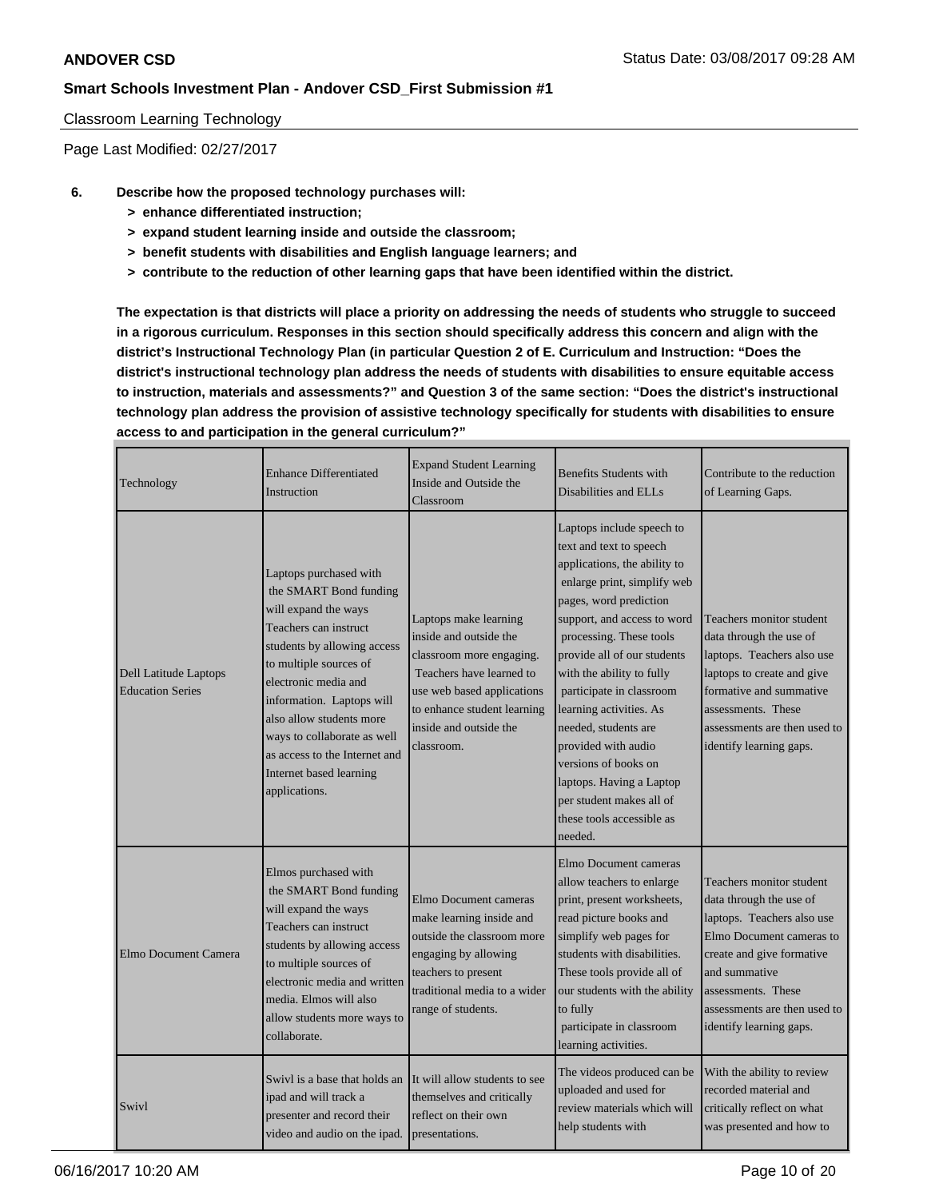## Classroom Learning Technology

Page Last Modified: 02/27/2017

- **6. Describe how the proposed technology purchases will:**
	- **> enhance differentiated instruction;**
	- **> expand student learning inside and outside the classroom;**
	- **> benefit students with disabilities and English language learners; and**
	- **> contribute to the reduction of other learning gaps that have been identified within the district.**

**The expectation is that districts will place a priority on addressing the needs of students who struggle to succeed in a rigorous curriculum. Responses in this section should specifically address this concern and align with the district's Instructional Technology Plan (in particular Question 2 of E. Curriculum and Instruction: "Does the district's instructional technology plan address the needs of students with disabilities to ensure equitable access to instruction, materials and assessments?" and Question 3 of the same section: "Does the district's instructional technology plan address the provision of assistive technology specifically for students with disabilities to ensure access to and participation in the general curriculum?"**

| Technology                                       | <b>Enhance Differentiated</b><br>Instruction                                                                                                                                                                                                                                                                                                            | <b>Expand Student Learning</b><br>Inside and Outside the<br>Classroom                                                                                                                                        | <b>Benefits Students with</b><br>Disabilities and ELLs                                                                                                                                                                                                                                                                                                                                                                                                                                            | Contribute to the reduction<br>of Learning Gaps.                                                                                                                                                                                             |
|--------------------------------------------------|---------------------------------------------------------------------------------------------------------------------------------------------------------------------------------------------------------------------------------------------------------------------------------------------------------------------------------------------------------|--------------------------------------------------------------------------------------------------------------------------------------------------------------------------------------------------------------|---------------------------------------------------------------------------------------------------------------------------------------------------------------------------------------------------------------------------------------------------------------------------------------------------------------------------------------------------------------------------------------------------------------------------------------------------------------------------------------------------|----------------------------------------------------------------------------------------------------------------------------------------------------------------------------------------------------------------------------------------------|
| Dell Latitude Laptops<br><b>Education Series</b> | Laptops purchased with<br>the SMART Bond funding<br>will expand the ways<br>Teachers can instruct<br>students by allowing access<br>to multiple sources of<br>electronic media and<br>information. Laptops will<br>also allow students more<br>ways to collaborate as well<br>as access to the Internet and<br>Internet based learning<br>applications. | Laptops make learning<br>inside and outside the<br>classroom more engaging.<br>Teachers have learned to<br>use web based applications<br>to enhance student learning<br>inside and outside the<br>classroom. | Laptops include speech to<br>text and text to speech<br>applications, the ability to<br>enlarge print, simplify web<br>pages, word prediction<br>support, and access to word<br>processing. These tools<br>provide all of our students<br>with the ability to fully<br>participate in classroom<br>learning activities. As<br>needed, students are<br>provided with audio<br>versions of books on<br>laptops. Having a Laptop<br>per student makes all of<br>these tools accessible as<br>needed. | Teachers monitor student<br>data through the use of<br>laptops. Teachers also use<br>laptops to create and give<br>formative and summative<br>assessments. These<br>assessments are then used to<br>identify learning gaps.                  |
| Elmo Document Camera                             | Elmos purchased with<br>the SMART Bond funding<br>will expand the ways<br>Teachers can instruct<br>students by allowing access<br>to multiple sources of<br>electronic media and written<br>media. Elmos will also<br>allow students more ways to<br>collaborate.                                                                                       | Elmo Document cameras<br>make learning inside and<br>outside the classroom more<br>engaging by allowing<br>teachers to present<br>traditional media to a wider<br>range of students.                         | Elmo Document cameras<br>allow teachers to enlarge<br>print, present worksheets,<br>read picture books and<br>simplify web pages for<br>students with disabilities.<br>These tools provide all of<br>our students with the ability<br>to fully<br>participate in classroom<br>learning activities.                                                                                                                                                                                                | Teachers monitor student<br>data through the use of<br>laptops. Teachers also use<br>Elmo Document cameras to<br>create and give formative<br>and summative<br>assessments. These<br>assessments are then used to<br>identify learning gaps. |
| Swivl                                            | Swivl is a base that holds an It will allow students to see<br>ipad and will track a<br>presenter and record their<br>video and audio on the ipad.                                                                                                                                                                                                      | themselves and critically<br>reflect on their own<br>presentations.                                                                                                                                          | The videos produced can be<br>uploaded and used for<br>review materials which will<br>help students with                                                                                                                                                                                                                                                                                                                                                                                          | With the ability to review<br>recorded material and<br>critically reflect on what<br>was presented and how to                                                                                                                                |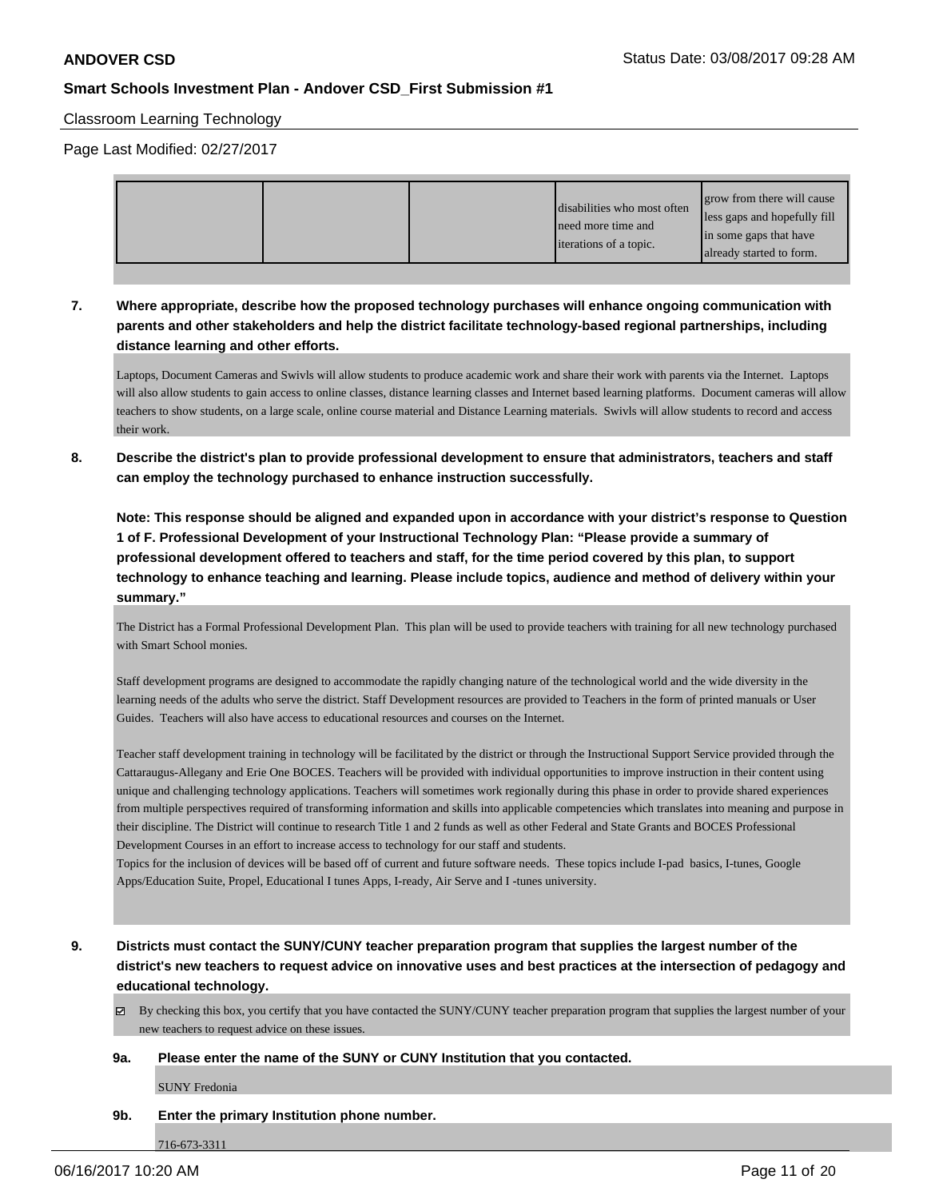#### Classroom Learning Technology

Page Last Modified: 02/27/2017

|  | grow from there will cause<br>disabilities who most often<br>less gaps and hopefully fill<br>need more time and<br>in some gaps that have<br><b>literations</b> of a topic.<br>already started to form. |
|--|---------------------------------------------------------------------------------------------------------------------------------------------------------------------------------------------------------|
|--|---------------------------------------------------------------------------------------------------------------------------------------------------------------------------------------------------------|

# **7. Where appropriate, describe how the proposed technology purchases will enhance ongoing communication with parents and other stakeholders and help the district facilitate technology-based regional partnerships, including distance learning and other efforts.**

Laptops, Document Cameras and Swivls will allow students to produce academic work and share their work with parents via the Internet. Laptops will also allow students to gain access to online classes, distance learning classes and Internet based learning platforms. Document cameras will allow teachers to show students, on a large scale, online course material and Distance Learning materials. Swivls will allow students to record and access their work.

**8. Describe the district's plan to provide professional development to ensure that administrators, teachers and staff can employ the technology purchased to enhance instruction successfully.**

**Note: This response should be aligned and expanded upon in accordance with your district's response to Question 1 of F. Professional Development of your Instructional Technology Plan: "Please provide a summary of professional development offered to teachers and staff, for the time period covered by this plan, to support technology to enhance teaching and learning. Please include topics, audience and method of delivery within your summary."**

The District has a Formal Professional Development Plan. This plan will be used to provide teachers with training for all new technology purchased with Smart School monies.

Staff development programs are designed to accommodate the rapidly changing nature of the technological world and the wide diversity in the learning needs of the adults who serve the district. Staff Development resources are provided to Teachers in the form of printed manuals or User Guides. Teachers will also have access to educational resources and courses on the Internet.

Teacher staff development training in technology will be facilitated by the district or through the Instructional Support Service provided through the Cattaraugus-Allegany and Erie One BOCES. Teachers will be provided with individual opportunities to improve instruction in their content using unique and challenging technology applications. Teachers will sometimes work regionally during this phase in order to provide shared experiences from multiple perspectives required of transforming information and skills into applicable competencies which translates into meaning and purpose in their discipline. The District will continue to research Title 1 and 2 funds as well as other Federal and State Grants and BOCES Professional Development Courses in an effort to increase access to technology for our staff and students.

Topics for the inclusion of devices will be based off of current and future software needs. These topics include I-pad basics, I-tunes, Google Apps/Education Suite, Propel, Educational I tunes Apps, I-ready, Air Serve and I -tunes university.

**9. Districts must contact the SUNY/CUNY teacher preparation program that supplies the largest number of the district's new teachers to request advice on innovative uses and best practices at the intersection of pedagogy and educational technology.**

 $\boxtimes$  By checking this box, you certify that you have contacted the SUNY/CUNY teacher preparation program that supplies the largest number of your new teachers to request advice on these issues.

#### **9a. Please enter the name of the SUNY or CUNY Institution that you contacted.**

SUNY Fredonia

#### **9b. Enter the primary Institution phone number.**

716-673-3311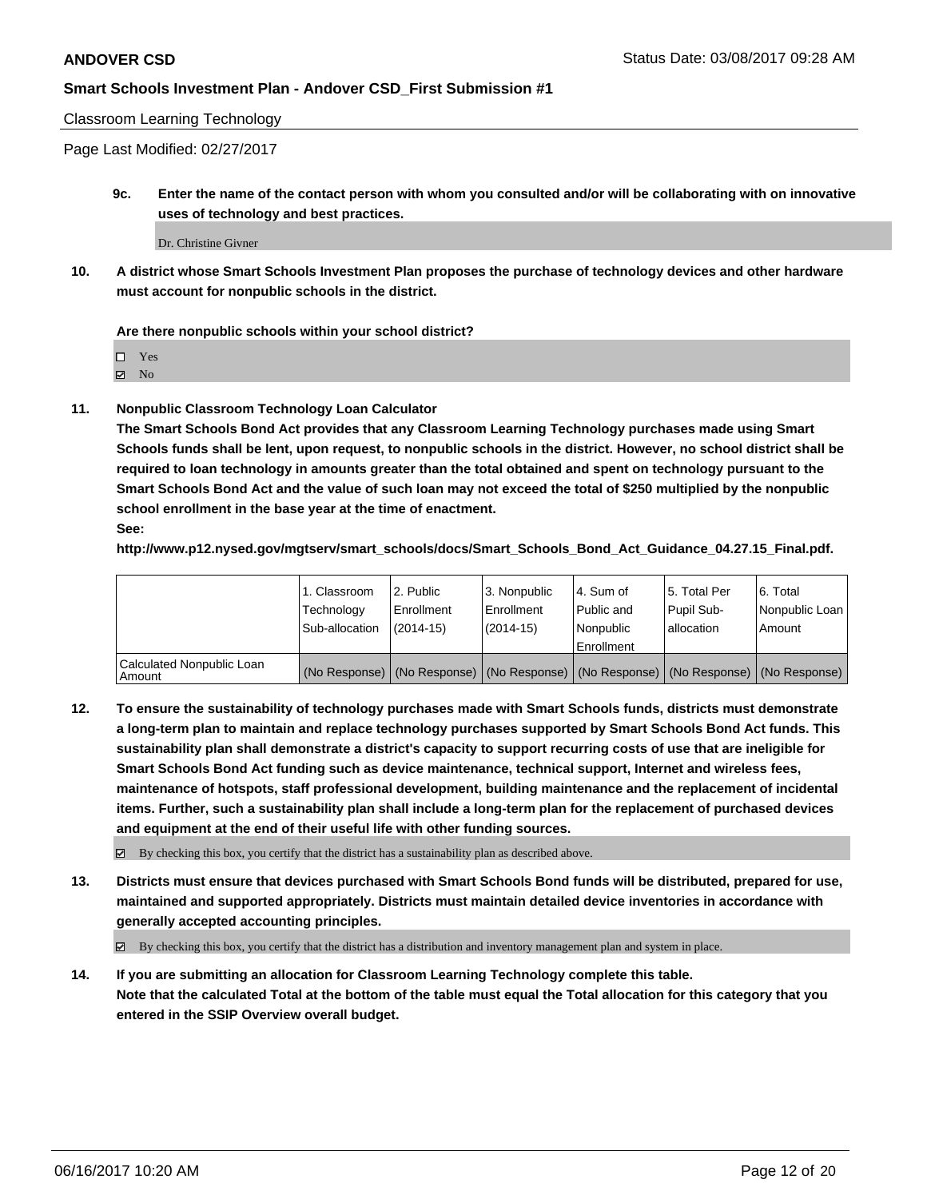#### Classroom Learning Technology

Page Last Modified: 02/27/2017

**9c. Enter the name of the contact person with whom you consulted and/or will be collaborating with on innovative uses of technology and best practices.**

Dr. Christine Givner

**10. A district whose Smart Schools Investment Plan proposes the purchase of technology devices and other hardware must account for nonpublic schools in the district.**

#### **Are there nonpublic schools within your school district?**

□ Yes

 $\boxtimes$  No

**11. Nonpublic Classroom Technology Loan Calculator**

**The Smart Schools Bond Act provides that any Classroom Learning Technology purchases made using Smart Schools funds shall be lent, upon request, to nonpublic schools in the district. However, no school district shall be required to loan technology in amounts greater than the total obtained and spent on technology pursuant to the Smart Schools Bond Act and the value of such loan may not exceed the total of \$250 multiplied by the nonpublic school enrollment in the base year at the time of enactment. See:**

**http://www.p12.nysed.gov/mgtserv/smart\_schools/docs/Smart\_Schools\_Bond\_Act\_Guidance\_04.27.15\_Final.pdf.**

|                                       | 1. Classroom   | l 2. Public   | 3. Nonpublic | l 4. Sum of | 15. Total Per | 6. Total                                                                                      |
|---------------------------------------|----------------|---------------|--------------|-------------|---------------|-----------------------------------------------------------------------------------------------|
|                                       | Technology     | l Enrollment  | Enrollment   | Public and  | Pupil Sub-    | Nonpublic Loan                                                                                |
|                                       | Sub-allocation | $(2014 - 15)$ | $(2014-15)$  | l Nonpublic | lallocation   | Amount                                                                                        |
|                                       |                |               |              | Enrollment  |               |                                                                                               |
| Calculated Nonpublic Loan<br>l Amount |                |               |              |             |               | (No Response)   (No Response)   (No Response)   (No Response)   (No Response)   (No Response) |

**12. To ensure the sustainability of technology purchases made with Smart Schools funds, districts must demonstrate a long-term plan to maintain and replace technology purchases supported by Smart Schools Bond Act funds. This sustainability plan shall demonstrate a district's capacity to support recurring costs of use that are ineligible for Smart Schools Bond Act funding such as device maintenance, technical support, Internet and wireless fees, maintenance of hotspots, staff professional development, building maintenance and the replacement of incidental items. Further, such a sustainability plan shall include a long-term plan for the replacement of purchased devices and equipment at the end of their useful life with other funding sources.**

By checking this box, you certify that the district has a sustainability plan as described above.

**13. Districts must ensure that devices purchased with Smart Schools Bond funds will be distributed, prepared for use, maintained and supported appropriately. Districts must maintain detailed device inventories in accordance with generally accepted accounting principles.**

By checking this box, you certify that the district has a distribution and inventory management plan and system in place.

**14. If you are submitting an allocation for Classroom Learning Technology complete this table. Note that the calculated Total at the bottom of the table must equal the Total allocation for this category that you entered in the SSIP Overview overall budget.**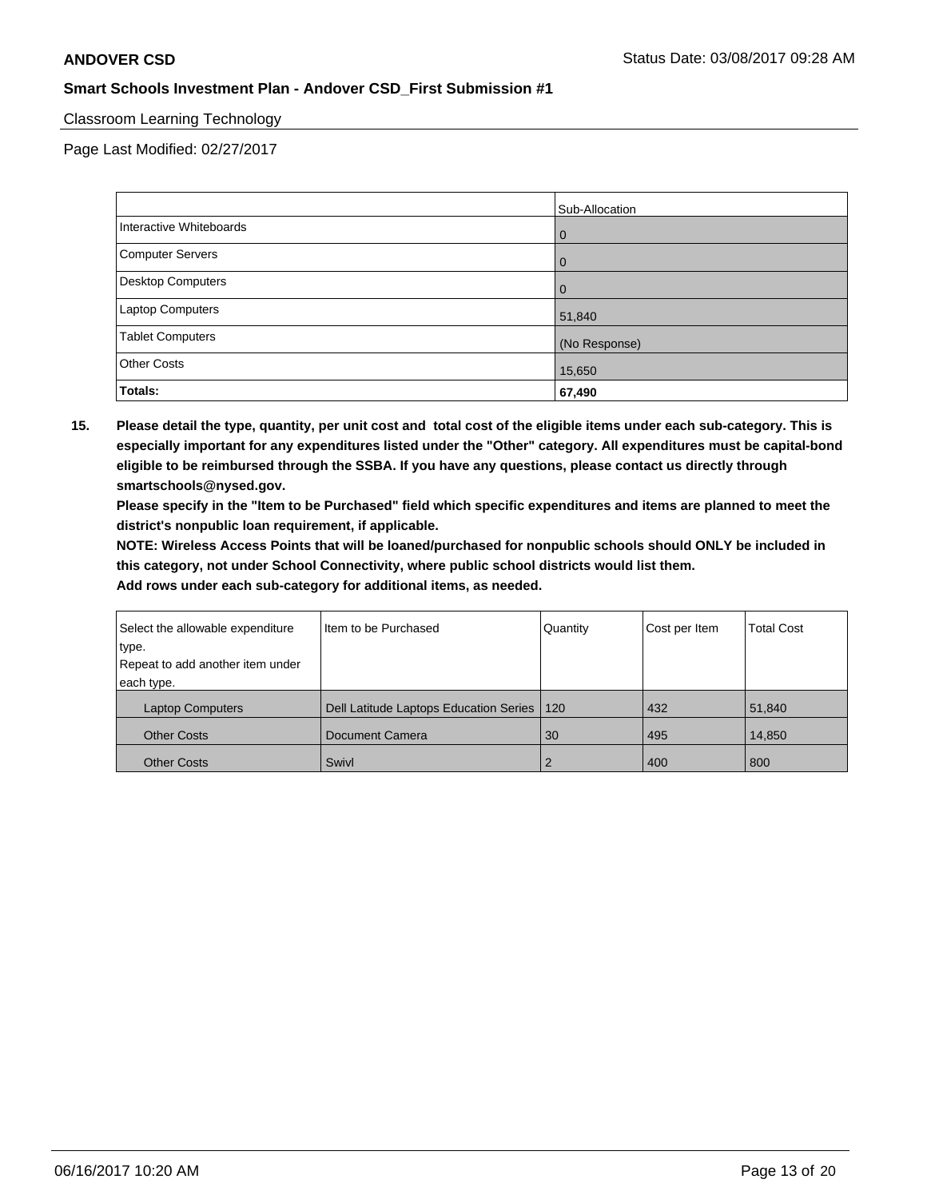## Classroom Learning Technology

Page Last Modified: 02/27/2017

|                         | Sub-Allocation |
|-------------------------|----------------|
| Interactive Whiteboards | 0              |
| Computer Servers        | $\Omega$       |
| Desktop Computers       | 0              |
| Laptop Computers        | 51,840         |
| <b>Tablet Computers</b> | (No Response)  |
| <b>Other Costs</b>      | 15,650         |
| <b>Totals:</b>          | 67,490         |

**15. Please detail the type, quantity, per unit cost and total cost of the eligible items under each sub-category. This is especially important for any expenditures listed under the "Other" category. All expenditures must be capital-bond eligible to be reimbursed through the SSBA. If you have any questions, please contact us directly through smartschools@nysed.gov.**

**Please specify in the "Item to be Purchased" field which specific expenditures and items are planned to meet the district's nonpublic loan requirement, if applicable.**

**NOTE: Wireless Access Points that will be loaned/purchased for nonpublic schools should ONLY be included in this category, not under School Connectivity, where public school districts would list them.**

| Select the allowable expenditure | Item to be Purchased                         | Quantity      | Cost per Item | <b>Total Cost</b> |
|----------------------------------|----------------------------------------------|---------------|---------------|-------------------|
| type.                            |                                              |               |               |                   |
| Repeat to add another item under |                                              |               |               |                   |
| each type.                       |                                              |               |               |                   |
| <b>Laptop Computers</b>          | Dell Latitude Laptops Education Series   120 |               | 432           | 51.840            |
| <b>Other Costs</b>               | Document Camera                              | 30            | 495           | 14,850            |
| <b>Other Costs</b>               | Swivl                                        | $\mathcal{P}$ | 400           | 800               |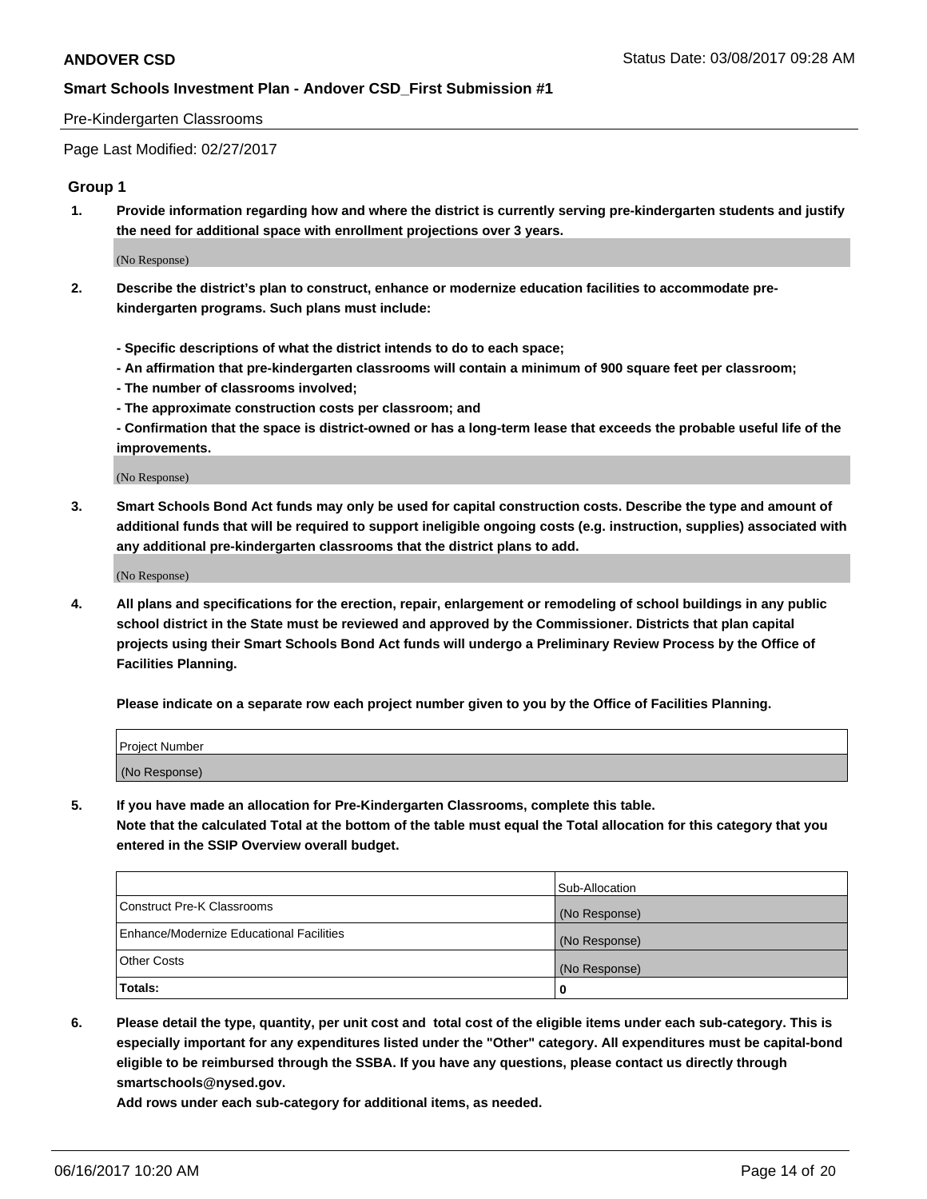#### Pre-Kindergarten Classrooms

Page Last Modified: 02/27/2017

# **Group 1**

**1. Provide information regarding how and where the district is currently serving pre-kindergarten students and justify the need for additional space with enrollment projections over 3 years.**

(No Response)

- **2. Describe the district's plan to construct, enhance or modernize education facilities to accommodate prekindergarten programs. Such plans must include:**
	- **Specific descriptions of what the district intends to do to each space;**
	- **An affirmation that pre-kindergarten classrooms will contain a minimum of 900 square feet per classroom;**
	- **The number of classrooms involved;**
	- **The approximate construction costs per classroom; and**
	- **Confirmation that the space is district-owned or has a long-term lease that exceeds the probable useful life of the improvements.**

(No Response)

**3. Smart Schools Bond Act funds may only be used for capital construction costs. Describe the type and amount of additional funds that will be required to support ineligible ongoing costs (e.g. instruction, supplies) associated with any additional pre-kindergarten classrooms that the district plans to add.**

(No Response)

**4. All plans and specifications for the erection, repair, enlargement or remodeling of school buildings in any public school district in the State must be reviewed and approved by the Commissioner. Districts that plan capital projects using their Smart Schools Bond Act funds will undergo a Preliminary Review Process by the Office of Facilities Planning.**

**Please indicate on a separate row each project number given to you by the Office of Facilities Planning.**

| Project Number |  |
|----------------|--|
| (No Response)  |  |

**5. If you have made an allocation for Pre-Kindergarten Classrooms, complete this table. Note that the calculated Total at the bottom of the table must equal the Total allocation for this category that you entered in the SSIP Overview overall budget.**

| Totals:                                  | 0              |
|------------------------------------------|----------------|
| Other Costs                              | (No Response)  |
| Enhance/Modernize Educational Facilities | (No Response)  |
| Construct Pre-K Classrooms               | (No Response)  |
|                                          | Sub-Allocation |

**6. Please detail the type, quantity, per unit cost and total cost of the eligible items under each sub-category. This is especially important for any expenditures listed under the "Other" category. All expenditures must be capital-bond eligible to be reimbursed through the SSBA. If you have any questions, please contact us directly through smartschools@nysed.gov.**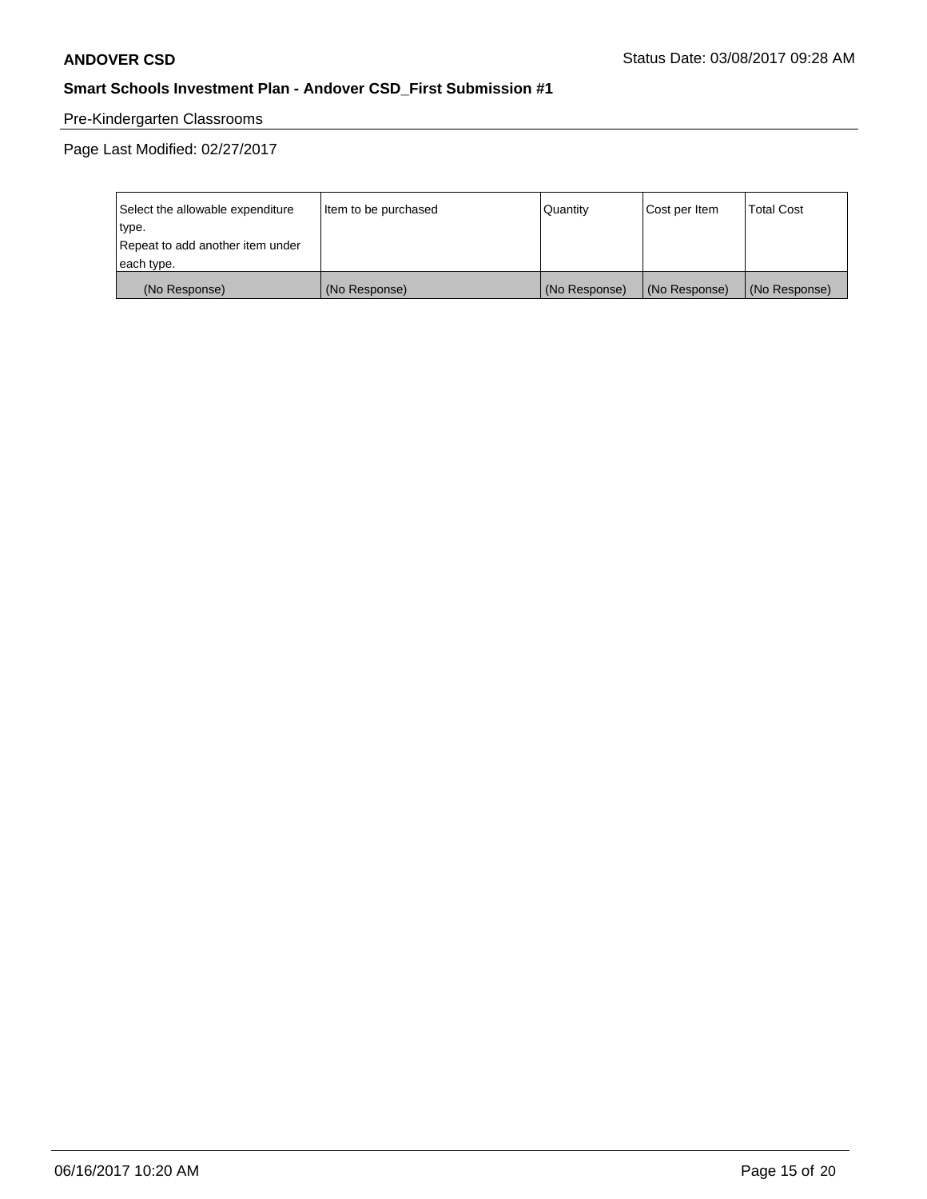# Pre-Kindergarten Classrooms

| Select the allowable expenditure | Item to be purchased | Quantity      | Cost per Item | <b>Total Cost</b> |
|----------------------------------|----------------------|---------------|---------------|-------------------|
| type.                            |                      |               |               |                   |
| Repeat to add another item under |                      |               |               |                   |
| each type.                       |                      |               |               |                   |
| (No Response)                    | (No Response)        | (No Response) | (No Response) | (No Response)     |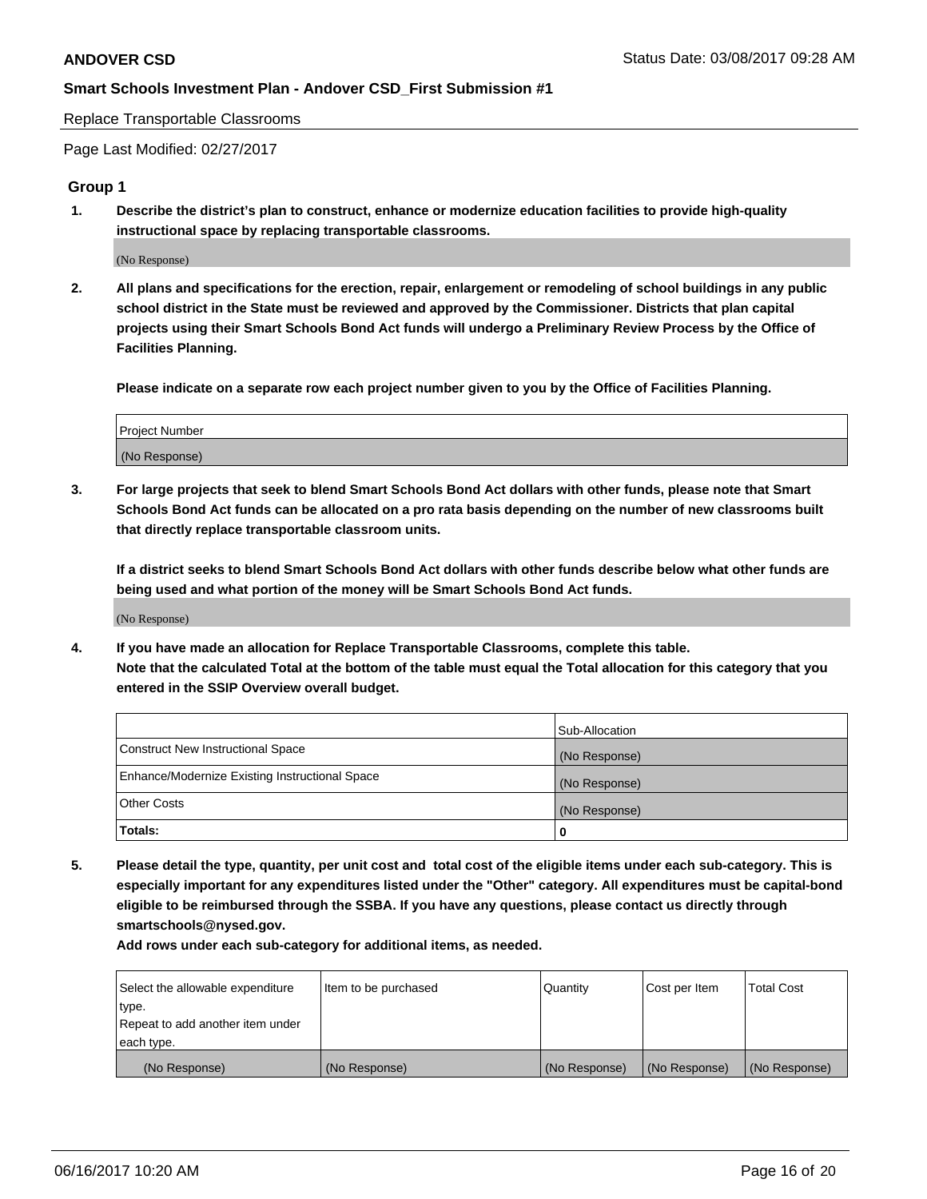Replace Transportable Classrooms

Page Last Modified: 02/27/2017

## **Group 1**

**1. Describe the district's plan to construct, enhance or modernize education facilities to provide high-quality instructional space by replacing transportable classrooms.**

(No Response)

**2. All plans and specifications for the erection, repair, enlargement or remodeling of school buildings in any public school district in the State must be reviewed and approved by the Commissioner. Districts that plan capital projects using their Smart Schools Bond Act funds will undergo a Preliminary Review Process by the Office of Facilities Planning.**

**Please indicate on a separate row each project number given to you by the Office of Facilities Planning.**

| Project Number |  |
|----------------|--|
| (No Response)  |  |

**3. For large projects that seek to blend Smart Schools Bond Act dollars with other funds, please note that Smart Schools Bond Act funds can be allocated on a pro rata basis depending on the number of new classrooms built that directly replace transportable classroom units.**

**If a district seeks to blend Smart Schools Bond Act dollars with other funds describe below what other funds are being used and what portion of the money will be Smart Schools Bond Act funds.**

(No Response)

**4. If you have made an allocation for Replace Transportable Classrooms, complete this table. Note that the calculated Total at the bottom of the table must equal the Total allocation for this category that you entered in the SSIP Overview overall budget.**

|                                                | Sub-Allocation |
|------------------------------------------------|----------------|
| Construct New Instructional Space              | (No Response)  |
| Enhance/Modernize Existing Instructional Space | (No Response)  |
| Other Costs                                    | (No Response)  |
| Totals:                                        | 0              |

**5. Please detail the type, quantity, per unit cost and total cost of the eligible items under each sub-category. This is especially important for any expenditures listed under the "Other" category. All expenditures must be capital-bond eligible to be reimbursed through the SSBA. If you have any questions, please contact us directly through smartschools@nysed.gov.**

| Select the allowable expenditure | Item to be purchased | Quantity      | Cost per Item | <b>Total Cost</b> |
|----------------------------------|----------------------|---------------|---------------|-------------------|
| type.                            |                      |               |               |                   |
| Repeat to add another item under |                      |               |               |                   |
| each type.                       |                      |               |               |                   |
| (No Response)                    | (No Response)        | (No Response) | (No Response) | (No Response)     |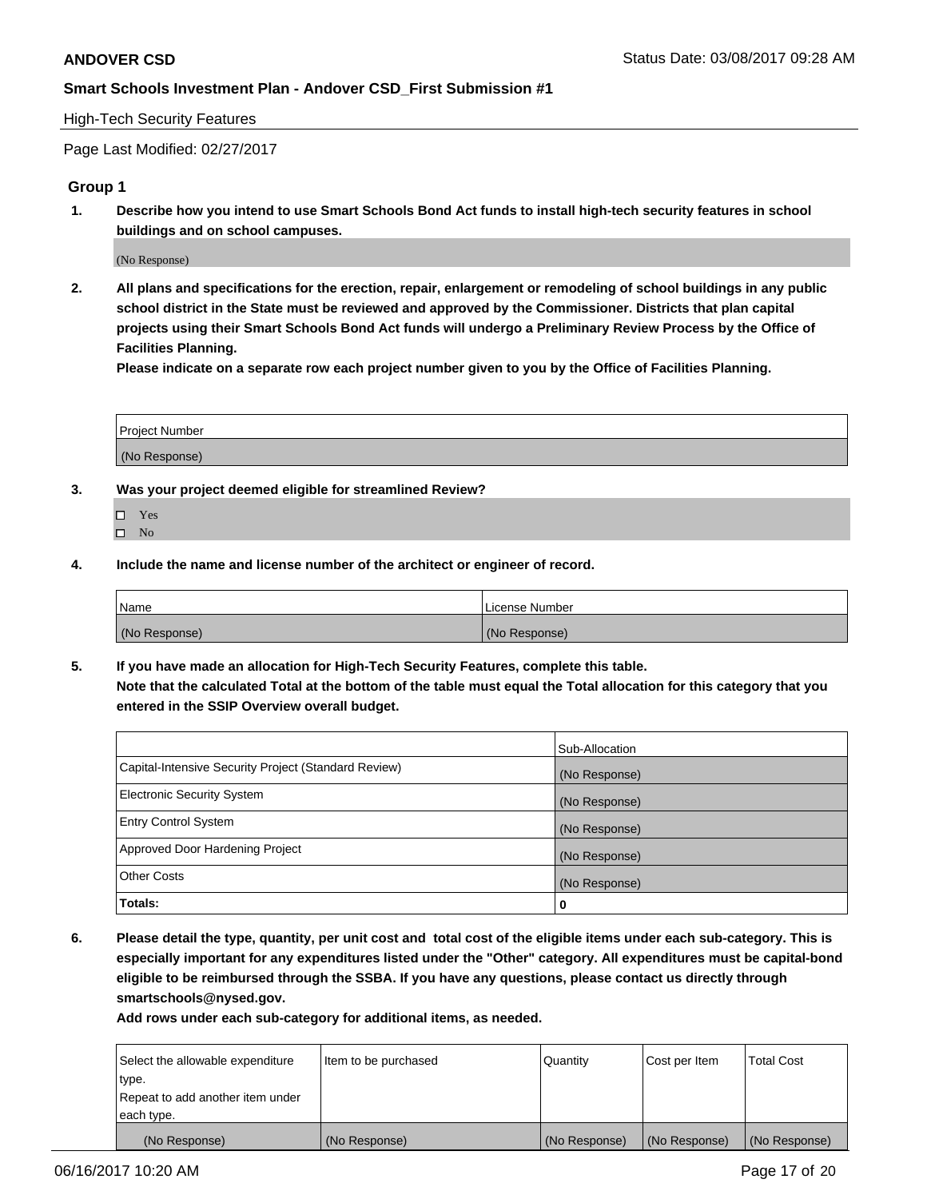## High-Tech Security Features

Page Last Modified: 02/27/2017

# **Group 1**

**1. Describe how you intend to use Smart Schools Bond Act funds to install high-tech security features in school buildings and on school campuses.**

(No Response)

**2. All plans and specifications for the erection, repair, enlargement or remodeling of school buildings in any public school district in the State must be reviewed and approved by the Commissioner. Districts that plan capital projects using their Smart Schools Bond Act funds will undergo a Preliminary Review Process by the Office of Facilities Planning.** 

**Please indicate on a separate row each project number given to you by the Office of Facilities Planning.**

| Project Number |  |
|----------------|--|
|                |  |
| (No Response)  |  |

- **3. Was your project deemed eligible for streamlined Review?**
	- Yes  $\hfill \square$  No
- **4. Include the name and license number of the architect or engineer of record.**

| Name          | l License Number |
|---------------|------------------|
| (No Response) | (No Response)    |

**5. If you have made an allocation for High-Tech Security Features, complete this table. Note that the calculated Total at the bottom of the table must equal the Total allocation for this category that you entered in the SSIP Overview overall budget.**

|                                                      | Sub-Allocation |
|------------------------------------------------------|----------------|
| Capital-Intensive Security Project (Standard Review) | (No Response)  |
| Electronic Security System                           | (No Response)  |
| <b>Entry Control System</b>                          | (No Response)  |
| Approved Door Hardening Project                      | (No Response)  |
| <b>Other Costs</b>                                   | (No Response)  |
| Totals:                                              | 0              |

**6. Please detail the type, quantity, per unit cost and total cost of the eligible items under each sub-category. This is especially important for any expenditures listed under the "Other" category. All expenditures must be capital-bond eligible to be reimbursed through the SSBA. If you have any questions, please contact us directly through smartschools@nysed.gov.**

| (No Response)                    | (No Response)        | (No Response) | (No Response) | (No Response)     |
|----------------------------------|----------------------|---------------|---------------|-------------------|
| each type.                       |                      |               |               |                   |
| Repeat to add another item under |                      |               |               |                   |
| type.                            |                      |               |               |                   |
| Select the allowable expenditure | Item to be purchased | Quantity      | Cost per Item | <b>Total Cost</b> |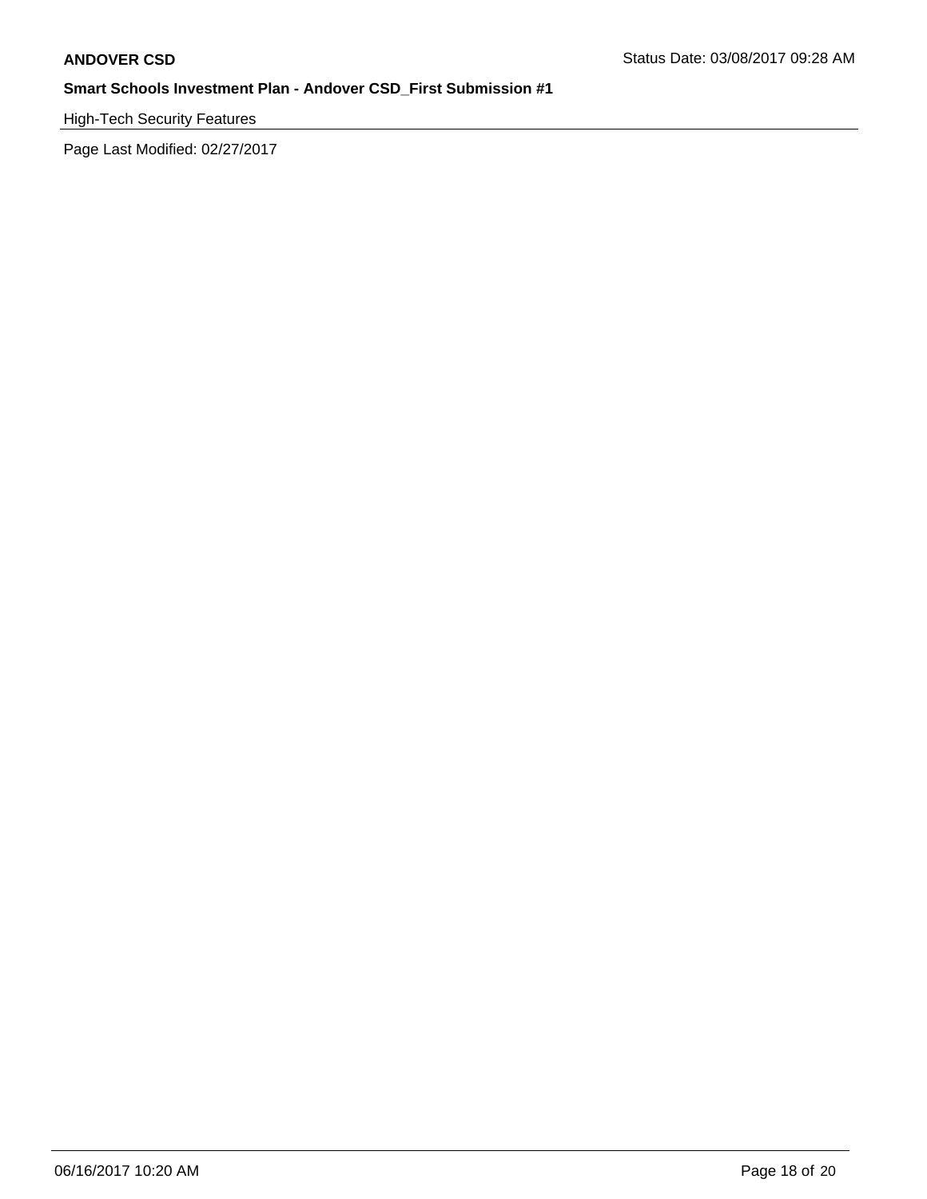High-Tech Security Features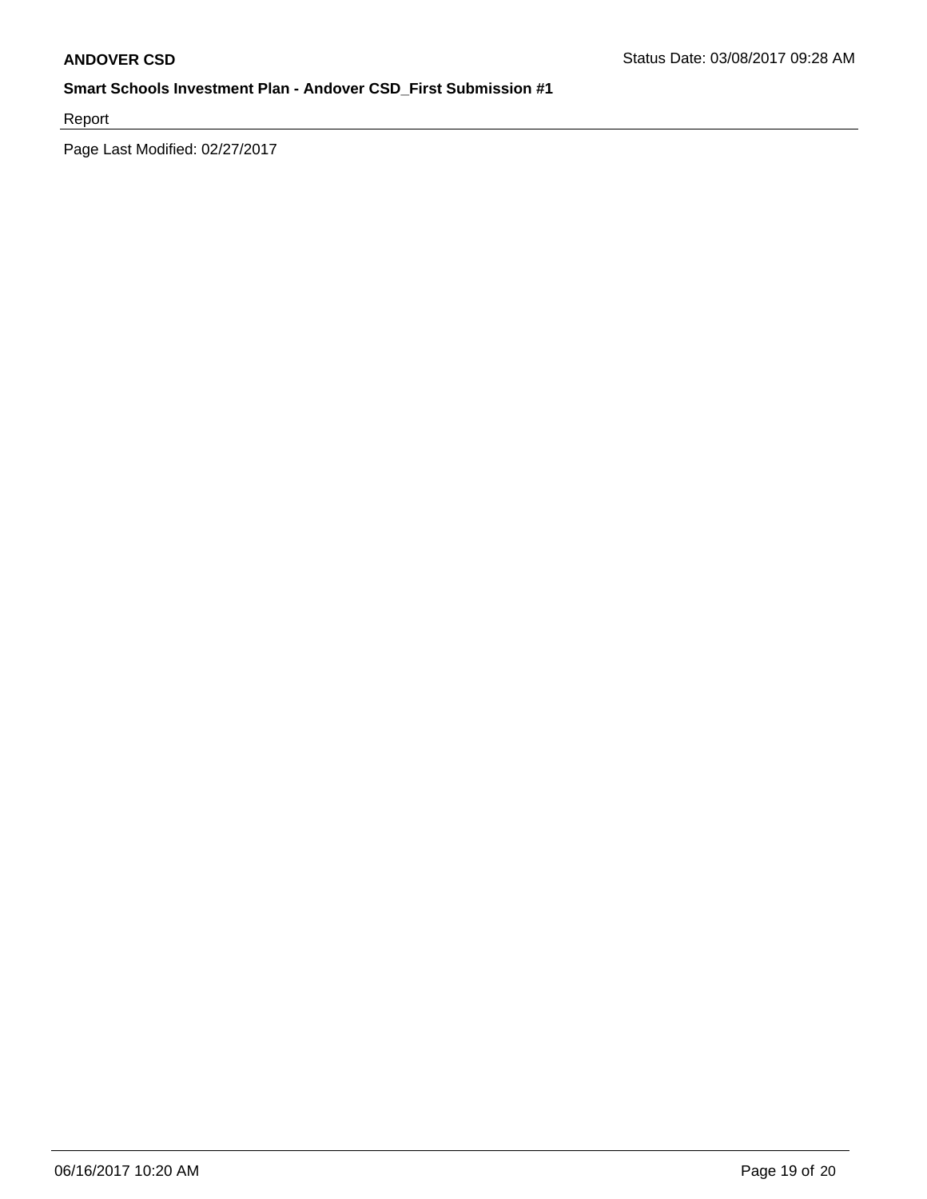Report